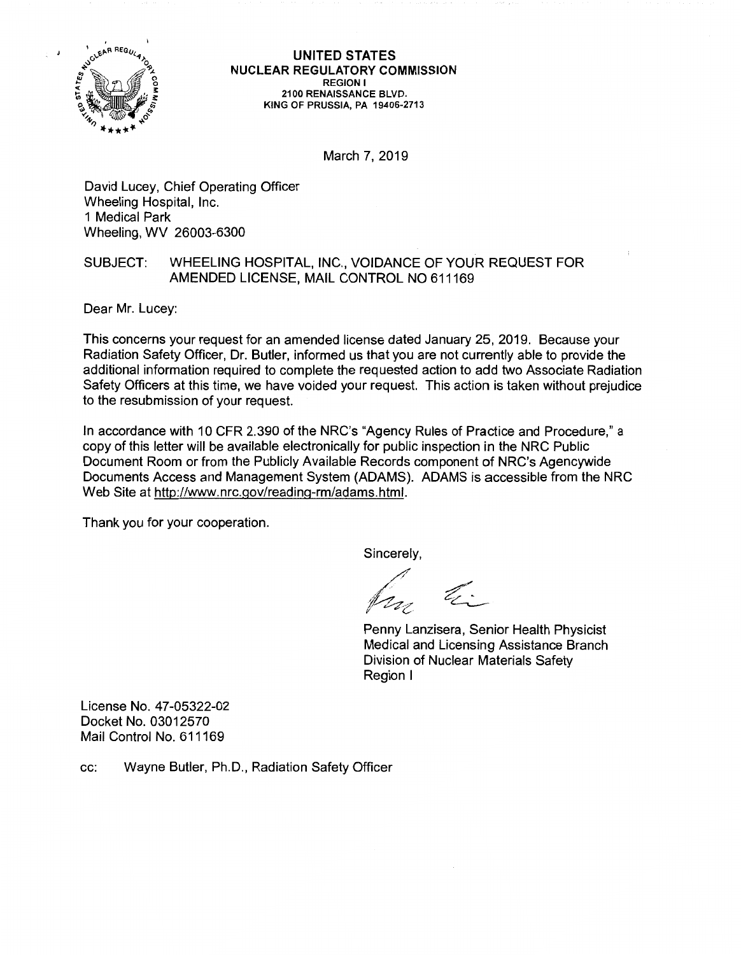

**UNITED STATES NUCLEAR REGULATORY COMMISSION REGION** I **2100 RENAISSANCE BLVD. KING OF PRUSSIA, PA 19406-2713** 

March 7, 2019

David Lucey, Chief Operating Officer Wheeling Hospital, Inc. 1 Medical Park Wheeling, WV 26003-6300

## SUBJECT: WHEELING HOSPITAL, INC., VOIDANCE OF YOUR REQUEST FOR AMENDED LICENSE, MAIL CONTROL NO 611169

Dear Mr. Lucey:

This concerns your request for an amended license dated January 25, 2019. Because your Radiation Safety Officer, Dr. Butler, informed us that you are not currently able to provide the additional information required to complete the requested action to add two Associate Radiation Safety Officers at this time, we have voided your request. This action is taken without prejudice to the resubmission of your request.

In accordance with 10 CFR 2.390 of the NRC's "Agency Rules of Practice and Procedure," a copy of this letter will be available electronically for public inspection in the NRC Public Document Room or from the Publicly Available Records component of NRC's Agencywide Documents Access and Management System (ADAMS). ADAMS is accessible from the NRC Web Site at http://www.nrc.gov/reading-rm/adams.html.

Thank you for your cooperation.

Sincerely,

/  $\ell_{\nu}$  $\mathbb{Z}$ I' (.....·

Penny Lanzisera, Senior Health Physicist Medical and Licensing Assistance Branch Division of Nuclear Materials Safety Region I

License No. 47-05322-02 Docket No. 03012570 Mail Control No. 611169

cc: Wayne Butler, Ph.D., Radiation Safety Officer